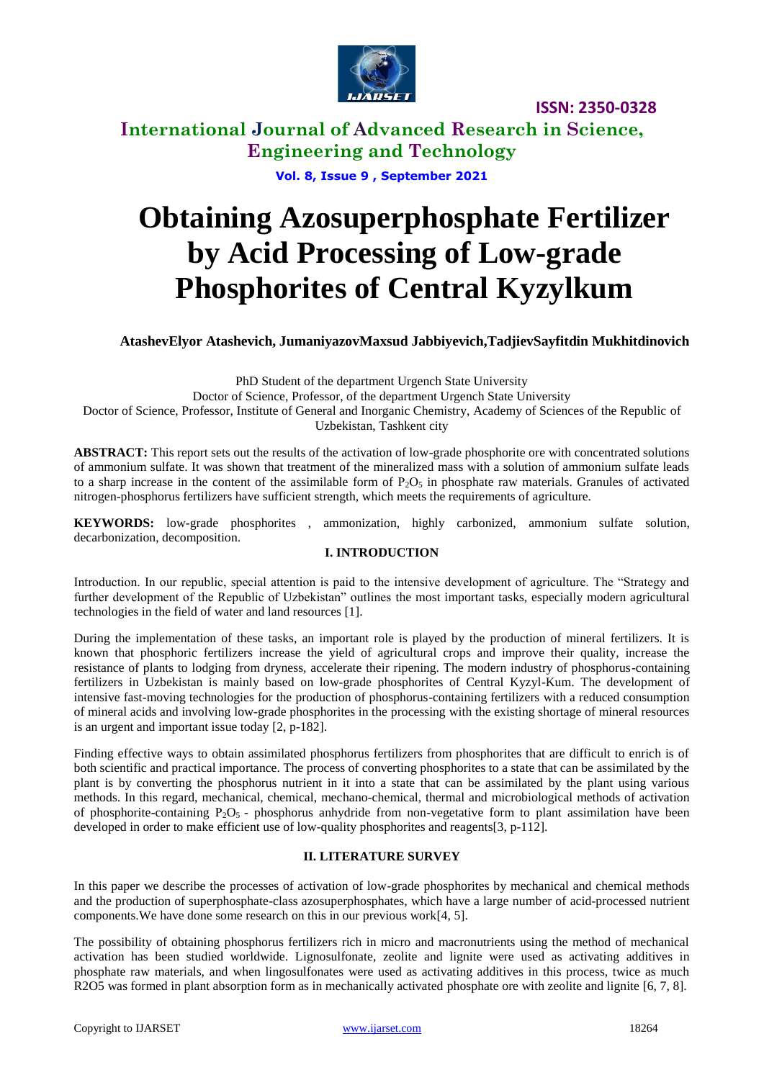

# **International Journal of Advanced Research in Science, Engineering and Technology**

**Vol. 8, Issue 9 , September 2021**

# **Obtaining Azosuperphosphate Fertilizer by Acid Processing of Low-grade Phosphorites of Central Kyzylkum**

## **AtashevElyor Atashevich, JumaniyazovMaxsud Jabbiyevich,TadjievSayfitdin Mukhitdinovich**

PhD Student of the department Urgench State University Doctor of Science, Professor, of the department Urgench State University Doctor of Science, Professor, Institute of General and Inorganic Chemistry, Academy of Sciences of the Republic of Uzbekistan, Tashkent city

**ABSTRACT:** This report sets out the results of the activation of low-grade phosphorite ore with concentrated solutions of ammonium sulfate. It was shown that treatment of the mineralized mass with a solution of ammonium sulfate leads to a sharp increase in the content of the assimilable form of  $P_2O_5$  in phosphate raw materials. Granules of activated nitrogen-phosphorus fertilizers have sufficient strength, which meets the requirements of agriculture.

**KEYWORDS:** low-grade phosphorites , ammonization, highly carbonized, ammonium sulfate solution, decarbonization, decomposition.

#### **I. INTRODUCTION**

Introduction. In our republic, special attention is paid to the intensive development of agriculture. The "Strategy and further development of the Republic of Uzbekistan" outlines the most important tasks, especially modern agricultural technologies in the field of water and land resources [1].

During the implementation of these tasks, an important role is played by the production of mineral fertilizers. It is known that phosphoric fertilizers increase the yield of agricultural crops and improve their quality, increase the resistance of plants to lodging from dryness, accelerate their ripening. The modern industry of phosphorus-containing fertilizers in Uzbekistan is mainly based on low-grade phosphorites of Central Kyzyl-Kum. The development of intensive fast-moving technologies for the production of phosphorus-containing fertilizers with a reduced consumption of mineral acids and involving low-grade phosphorites in the processing with the existing shortage of mineral resources is an urgent and important issue today [2, p-182].

Finding effective ways to obtain assimilated phosphorus fertilizers from phosphorites that are difficult to enrich is of both scientific and practical importance. The process of converting phosphorites to a state that can be assimilated by the plant is by converting the phosphorus nutrient in it into a state that can be assimilated by the plant using various methods. In this regard, mechanical, chemical, mechano-chemical, thermal and microbiological methods of activation of phosphorite-containing  $P_2O_5$  - phosphorus anhydride from non-vegetative form to plant assimilation have been developed in order to make efficient use of low-quality phosphorites and reagents[3, p-112].

#### **II. LITERATURE SURVEY**

In this paper we describe the processes of activation of low-grade phosphorites by mechanical and chemical methods and the production of superphosphate-class azosuperphosphates, which have a large number of acid-processed nutrient components.We have done some research on this in our previous work[4, 5].

The possibility of obtaining phosphorus fertilizers rich in micro and macronutrients using the method of mechanical activation has been studied worldwide. Lignosulfonate, zeolite and lignite were used as activating additives in phosphate raw materials, and when lingosulfonates were used as activating additives in this process, twice as much R2O5 was formed in plant absorption form as in mechanically activated phosphate ore with zeolite and lignite [6, 7, 8].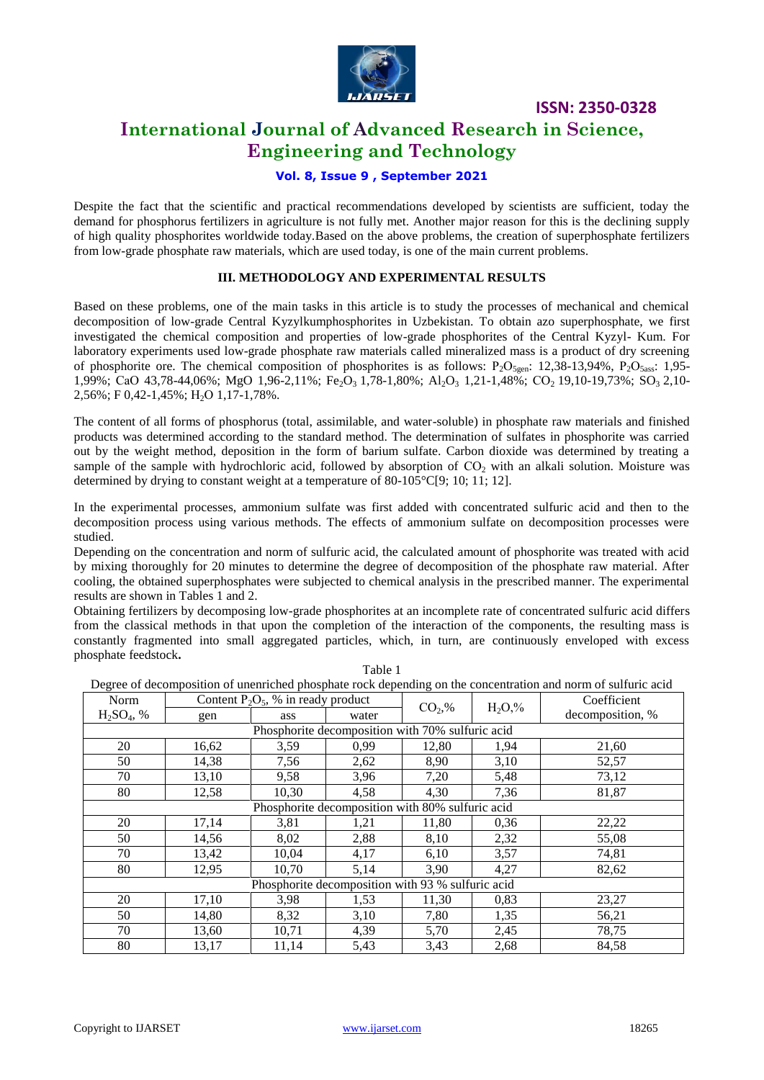

## **International Journal of Advanced Research in Science, Engineering and Technology**

#### **Vol. 8, Issue 9 , September 2021**

Despite the fact that the scientific and practical recommendations developed by scientists are sufficient, today the demand for phosphorus fertilizers in agriculture is not fully met. Another major reason for this is the declining supply of high quality phosphorites worldwide today.Based on the above problems, the creation of superphosphate fertilizers from low-grade phosphate raw materials, which are used today, is one of the main current problems.

#### **III. METHODOLOGY AND EXPERIMENTAL RESULTS**

Based on these problems, one of the main tasks in this article is to study the processes of mechanical and chemical decomposition of low-grade Central Kyzylkumphosphorites in Uzbekistan. To obtain azo superphosphate, we first investigated the chemical composition and properties of low-grade phosphorites of the Central Kyzyl- Kum. For laboratory experiments used low-grade phosphate raw materials called mineralized mass is a product of dry screening of phosphorite ore. The chemical composition of phosphorites is as follows:  $P_2O_{5.9}$ : 12,38-13,94%,  $P_2O_{5.88}$ : 1,95-1,99%; СаО 43,78-44,06%; MgO 1,96-2,11%; Fe<sub>2</sub>O<sub>3</sub> 1,78-1,80%; Al<sub>2</sub>O<sub>3</sub> 1,21-1,48%; CO<sub>2</sub> 19,10-19,73%; SO<sub>3</sub> 2,10-2,56%; F 0,42-1,45%; H<sub>2</sub>O 1,17-1,78%.

The content of all forms of phosphorus (total, assimilable, and water-soluble) in phosphate raw materials and finished products was determined according to the standard method. The determination of sulfates in phosphorite was carried out by the weight method, deposition in the form of barium sulfate. Carbon dioxide was determined by treating a sample of the sample with hydrochloric acid, followed by absorption of  $CO<sub>2</sub>$  with an alkali solution. Moisture was determined by drying to constant weight at a temperature of 80-105°C[9; 10; 11; 12].

In the experimental processes, ammonium sulfate was first added with concentrated sulfuric acid and then to the decomposition process using various methods. The effects of ammonium sulfate on decomposition processes were studied.

Depending on the concentration and norm of sulfuric acid, the calculated amount of phosphorite was treated with acid by mixing thoroughly for 20 minutes to determine the degree of decomposition of the phosphate raw material. After cooling, the obtained superphosphates were subjected to chemical analysis in the prescribed manner. The experimental results are shown in Tables 1 and 2.

Obtaining fertilizers by decomposing low-grade phosphorites at an incomplete rate of concentrated sulfuric acid differs from the classical methods in that upon the completion of the interaction of the components, the resulting mass is constantly fragmented into small aggregated particles, which, in turn, are continuously enveloped with excess phosphate feedstock**.**

| Degree of decomposition of unenficied phosphate rock depending on the concentration and norm of suffuric acid |                                                   |                                       |                                                  |          |            |                  |  |
|---------------------------------------------------------------------------------------------------------------|---------------------------------------------------|---------------------------------------|--------------------------------------------------|----------|------------|------------------|--|
| Norm                                                                                                          |                                                   | Content $P_2O_5$ , % in ready product |                                                  | $CO2,\%$ | $H_2O, \%$ | Coefficient      |  |
| $H_2SO_4$ , %                                                                                                 | gen                                               | ass                                   | water                                            |          |            | decomposition, % |  |
|                                                                                                               |                                                   |                                       | Phosphorite decomposition with 70% sulfuric acid |          |            |                  |  |
| 20                                                                                                            | 16,62                                             | 3,59                                  | 0,99                                             | 12,80    | 1,94       | 21,60            |  |
| 50                                                                                                            | 14,38                                             | 7.56                                  | 2.62                                             | 8,90     | 3,10       | 52,57            |  |
| 70                                                                                                            | 13,10                                             | 9,58                                  | 3,96                                             | 7,20     | 5,48       | 73,12            |  |
| 80                                                                                                            | 12,58                                             | 10,30                                 | 4,58                                             | 4,30     | 7,36       | 81,87            |  |
|                                                                                                               |                                                   |                                       | Phosphorite decomposition with 80% sulfuric acid |          |            |                  |  |
| 20                                                                                                            | 17,14                                             | 3,81                                  | 1,21                                             | 11,80    | 0.36       | 22,22            |  |
| 50                                                                                                            | 14,56                                             | 8,02                                  | 2,88                                             | 8,10     | 2,32       | 55,08            |  |
| 70                                                                                                            | 13,42                                             | 10,04                                 | 4,17                                             | 6,10     | 3,57       | 74,81            |  |
| 80                                                                                                            | 12,95                                             | 10,70                                 | 5,14                                             | 3,90     | 4,27       | 82,62            |  |
|                                                                                                               | Phosphorite decomposition with 93 % sulfuric acid |                                       |                                                  |          |            |                  |  |
| 20                                                                                                            | 17,10                                             | 3,98                                  | 1,53                                             | 11.30    | 0.83       | 23,27            |  |
| 50                                                                                                            | 14,80                                             | 8,32                                  | 3,10                                             | 7,80     | 1,35       | 56,21            |  |
| 70                                                                                                            | 13,60                                             | 10,71                                 | 4,39                                             | 5,70     | 2,45       | 78,75            |  |
| 80                                                                                                            | 13,17                                             | 11,14                                 | 5,43                                             | 3,43     | 2,68       | 84,58            |  |

Тable 1

Degree of decomposition of unenriched phosphate rock depending on the concentration and norm of sulfuric acid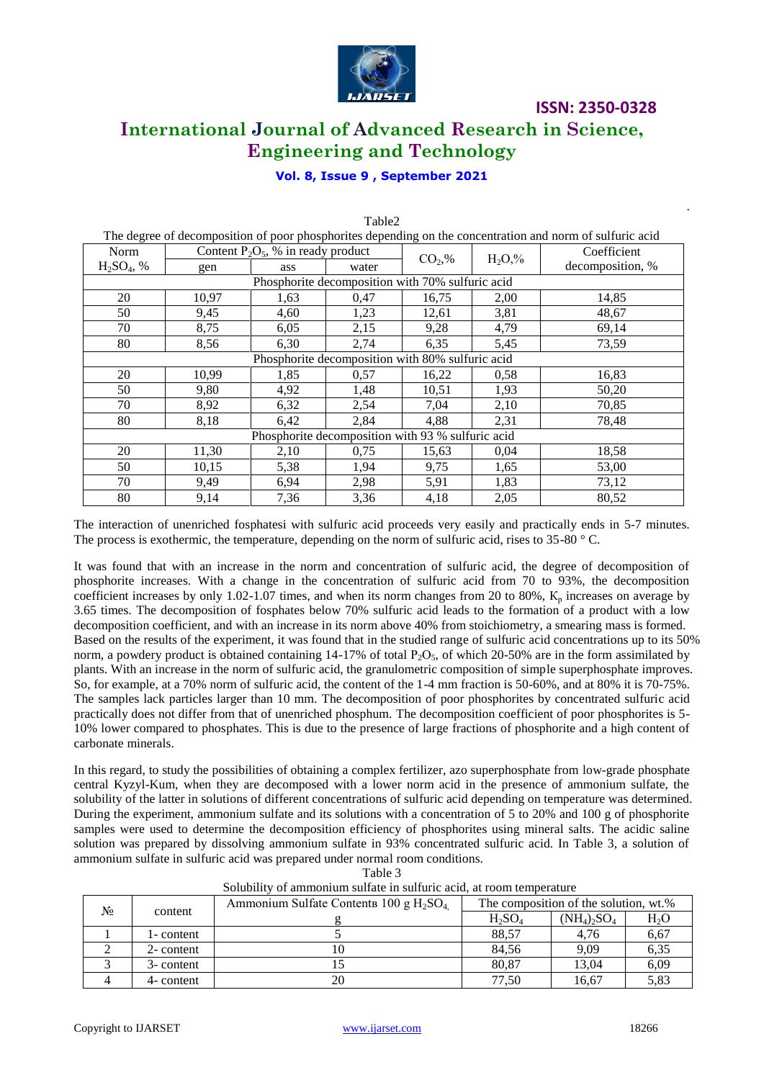

# **ISSN: 2350-0328 International Journal of Advanced Research in Science, Engineering and Technology**

## **Vol. 8, Issue 9 , September 2021**

| The degree of decomposition of poor phosphorites depending on the concentration and norm of sulfuric acid |                                                   |                                       |                                                  |          |          |                  |  |
|-----------------------------------------------------------------------------------------------------------|---------------------------------------------------|---------------------------------------|--------------------------------------------------|----------|----------|------------------|--|
| Norm                                                                                                      |                                                   | Content $P_2O_5$ , % in ready product |                                                  | $CO2,\%$ | $H_2O,%$ | Coefficient      |  |
| $H_2SO_4$ , %                                                                                             | gen                                               | ass                                   | water                                            |          |          | decomposition, % |  |
|                                                                                                           |                                                   |                                       | Phosphorite decomposition with 70% sulfuric acid |          |          |                  |  |
| 20                                                                                                        | 10,97                                             | 1,63                                  | 0,47                                             | 16,75    | 2,00     | 14,85            |  |
| 50                                                                                                        | 9,45                                              | 4,60                                  | 1,23                                             | 12,61    | 3,81     | 48,67            |  |
| 70                                                                                                        | 8,75                                              | 6,05                                  | 2,15                                             | 9,28     | 4,79     | 69,14            |  |
| 80                                                                                                        | 8,56                                              | 6,30                                  | 2,74                                             | 6,35     | 5,45     | 73,59            |  |
|                                                                                                           |                                                   |                                       | Phosphorite decomposition with 80% sulfuric acid |          |          |                  |  |
| 20                                                                                                        | 10,99                                             | 1,85                                  | 0.57                                             | 16,22    | 0.58     | 16,83            |  |
| 50                                                                                                        | 9,80                                              | 4,92                                  | 1,48                                             | 10,51    | 1,93     | 50,20            |  |
| 70                                                                                                        | 8,92                                              | 6,32                                  | 2,54                                             | 7,04     | 2,10     | 70,85            |  |
| 80                                                                                                        | 8,18                                              | 6,42                                  | 2,84                                             | 4,88     | 2,31     | 78,48            |  |
|                                                                                                           | Phosphorite decomposition with 93 % sulfuric acid |                                       |                                                  |          |          |                  |  |
| 20                                                                                                        | 11,30                                             | 2,10                                  | 0,75                                             | 15,63    | 0,04     | 18,58            |  |
| 50                                                                                                        | 10,15                                             | 5,38                                  | 1,94                                             | 9,75     | 1,65     | 53,00            |  |
| 70                                                                                                        | 9,49                                              | 6,94                                  | 2,98                                             | 5,91     | 1,83     | 73,12            |  |
| 80                                                                                                        | 9,14                                              | 7,36                                  | 3,36                                             | 4,18     | 2,05     | 80,52            |  |

Table2

The interaction of unenriched fosphatesi with sulfuric acid proceeds very easily and practically ends in 5-7 minutes. The process is exothermic, the temperature, depending on the norm of sulfuric acid, rises to 35-80 ° C.

It was found that with an increase in the norm and concentration of sulfuric acid, the degree of decomposition of phosphorite increases. With a change in the concentration of sulfuric acid from 70 to 93%, the decomposition coefficient increases by only 1.02-1.07 times, and when its norm changes from 20 to 80%,  $K_p$  increases on average by 3.65 times. The decomposition of fosphates below 70% sulfuric acid leads to the formation of a product with a low decomposition coefficient, and with an increase in its norm above 40% from stoichiometry, a smearing mass is formed. Based on the results of the experiment, it was found that in the studied range of sulfuric acid concentrations up to its 50% norm, a powdery product is obtained containing 14-17% of total  $P_2O_5$ , of which 20-50% are in the form assimilated by plants. With an increase in the norm of sulfuric acid, the granulometric composition of simple superphosphate improves. So, for example, at a 70% norm of sulfuric acid, the content of the 1-4 mm fraction is 50-60%, and at 80% it is 70-75%. The samples lack particles larger than 10 mm. The decomposition of poor phosphorites by concentrated sulfuric acid practically does not differ from that of unenriched phosphum. The decomposition coefficient of poor phosphorites is 5- 10% lower compared to phosphates. This is due to the presence of large fractions of phosphorite and a high content of carbonate minerals.

In this regard, to study the possibilities of obtaining a complex fertilizer, azo superphosphate from low-grade phosphate central Kyzyl-Kum, when they are decomposed with a lower norm acid in the presence of ammonium sulfate, the solubility of the latter in solutions of different concentrations of sulfuric acid depending on temperature was determined. During the experiment, ammonium sulfate and its solutions with a concentration of 5 to 20% and 100 g of phosphorite samples were used to determine the decomposition efficiency of phosphorites using mineral salts. The acidic saline solution was prepared by dissolving ammonium sulfate in 93% concentrated sulfuric acid. In Table 3, a solution of ammonium sulfate in sulfuric acid was prepared under normal room conditions.

Table 3

| No | content    | Ammonium Sulfate Contents 100 g $H_2SO_4$ | The composition of the solution, wt.% |                |                  |  |
|----|------------|-------------------------------------------|---------------------------------------|----------------|------------------|--|
|    |            |                                           | $H_2SO_4$                             | $(NH_4)_2SO_4$ | H <sub>2</sub> O |  |
|    | 1- content |                                           | 88.57                                 | 4.76           | 6,67             |  |
|    | 2- content |                                           | 84,56                                 | 9.09           | 6,35             |  |
|    | 3- content |                                           | 80,87                                 | 13,04          | 6,09             |  |
|    | 4- content | 20                                        | 77.50                                 | 16,67          | 5,83             |  |

|  | Solubility of ammonium sulfate in sulfuric acid, at room temperature |  |  |  |
|--|----------------------------------------------------------------------|--|--|--|
|  |                                                                      |  |  |  |

.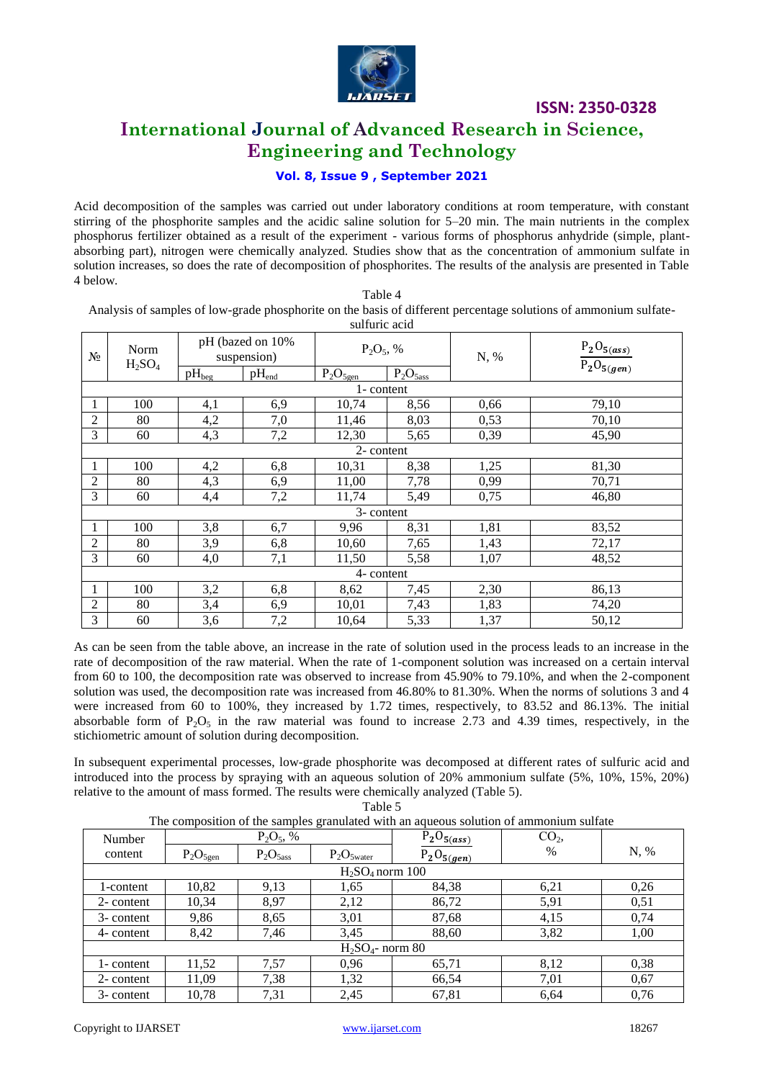

## **International Journal of Advanced Research in Science, Engineering and Technology**

## **Vol. 8, Issue 9 , September 2021**

Acid decomposition of the samples was carried out under laboratory conditions at room temperature, with constant stirring of the phosphorite samples and the acidic saline solution for 5–20 min. The main nutrients in the complex phosphorus fertilizer obtained as a result of the experiment - various forms of phosphorus anhydride (simple, plantabsorbing part), nitrogen were chemically analyzed. Studies show that as the concentration of ammonium sulfate in solution increases, so does the rate of decomposition of phosphorites. The results of the analysis are presented in Table 4 below.

Table 4 Analysis of samples of low-grade phosphorite on the basis of different percentage solutions of ammonium sulfate-

|                            | sulfuric acid                   |            |            |               |               |                                                         |       |  |  |
|----------------------------|---------------------------------|------------|------------|---------------|---------------|---------------------------------------------------------|-------|--|--|
| Norm<br>$N_2$<br>$H_2SO_4$ | pH (bazed on 10%<br>suspension) |            |            | $P_2O_5$ , %  |               | $\frac{\mathrm{P_2O_{5(ass)}}}{\mathrm{P_2O_{5(gen)}}}$ |       |  |  |
|                            |                                 | $pH_{beg}$ | $pH_{end}$ | $P_2O_{5gen}$ | $P_2O_{5ass}$ |                                                         |       |  |  |
|                            |                                 |            |            | 1- content    |               |                                                         |       |  |  |
|                            | 100                             | 4,1        | 6,9        | 10,74         | 8,56          | 0,66                                                    | 79,10 |  |  |
| $\overline{2}$             | 80                              | 4,2        | 7,0        | 11,46         | 8,03          | 0,53                                                    | 70,10 |  |  |
| 3                          | 60                              | 4,3        | 7,2        | 12,30         | 5,65          | 0,39                                                    | 45,90 |  |  |
|                            |                                 |            |            | 2- content    |               |                                                         |       |  |  |
|                            | 100                             | 4,2        | 6,8        | 10,31         | 8,38          | 1,25                                                    | 81,30 |  |  |
| $\overline{2}$             | 80                              | 4,3        | 6,9        | 11,00         | 7,78          | 0,99                                                    | 70,71 |  |  |
| 3                          | 60                              | 4,4        | 7,2        | 11,74         | 5,49          | 0,75                                                    | 46,80 |  |  |
|                            |                                 |            |            | 3- content    |               |                                                         |       |  |  |
| 1                          | 100                             | 3,8        | 6,7        | 9,96          | 8,31          | 1,81                                                    | 83,52 |  |  |
| $\overline{2}$             | 80                              | 3,9        | 6,8        | 10,60         | 7,65          | 1,43                                                    | 72,17 |  |  |
| 3                          | 60                              | 4,0        | 7,1        | 11,50         | 5,58          | 1,07                                                    | 48,52 |  |  |
| 4- content                 |                                 |            |            |               |               |                                                         |       |  |  |
| 1                          | 100                             | 3,2        | 6,8        | 8,62          | 7,45          | 2,30                                                    | 86,13 |  |  |
| 2                          | 80                              | 3,4        | 6,9        | 10,01         | 7,43          | 1,83                                                    | 74,20 |  |  |
| 3                          | 60                              | 3,6        | 7,2        | 10,64         | 5,33          | 1,37                                                    | 50,12 |  |  |

As can be seen from the table above, an increase in the rate of solution used in the process leads to an increase in the rate of decomposition of the raw material. When the rate of 1-component solution was increased on a certain interval from 60 to 100, the decomposition rate was observed to increase from 45.90% to 79.10%, and when the 2-component solution was used, the decomposition rate was increased from 46.80% to 81.30%. When the norms of solutions 3 and 4 were increased from 60 to 100%, they increased by 1.72 times, respectively, to 83.52 and 86.13%. The initial absorbable form of  $P_2O_5$  in the raw material was found to increase 2.73 and 4.39 times, respectively, in the stichiometric amount of solution during decomposition.

In subsequent experimental processes, low-grade phosphorite was decomposed at different rates of sulfuric acid and introduced into the process by spraying with an aqueous solution of 20% ammonium sulfate (5%, 10%, 15%, 20%) relative to the amount of mass formed. The results were chemically analyzed (Table 5).

Table 5

|--|

| $2.229$ $0.2220$ $0.0202$ $0.022$ $0.020$ $0.000$<br>$\mathbf{r}$ |               |               |                     |                 |                 |      |  |
|-------------------------------------------------------------------|---------------|---------------|---------------------|-----------------|-----------------|------|--|
| Number                                                            | $P_2O_5$ , %  |               |                     | $P_2O_{5(ass)}$ | CO <sub>2</sub> |      |  |
| content                                                           | $P_2O_{5gen}$ | $P_2O_{5ass}$ | $P_2O_{5water}$     | $P_2O_{5(gen)}$ | $\%$            | N, % |  |
|                                                                   |               |               | $H_2SO_4$ norm 100  |                 |                 |      |  |
| l-content                                                         | 10,82         | 9,13          | 1,65                | 84,38           | 6,21            | 0,26 |  |
| 2- content                                                        | 10,34         | 8,97          | 2,12                | 86,72           | 5,91            | 0,51 |  |
| 3- content                                                        | 9,86          | 8,65          | 3,01                | 87,68           | 4,15            | 0,74 |  |
| 4- content                                                        | 8,42          | 7,46          | 3,45                | 88,60           | 3,82            | 1,00 |  |
|                                                                   |               |               | $H_2SO_4$ - norm 80 |                 |                 |      |  |
| 1- content                                                        | 11,52         | 7,57          | 0,96                | 65,71           | 8,12            | 0,38 |  |
| 2- content                                                        | 11,09         | 7,38          | 1,32                | 66,54           | 7,01            | 0,67 |  |
| 3- content                                                        | 10,78         | 7,31          | 2,45                | 67,81           | 6,64            | 0,76 |  |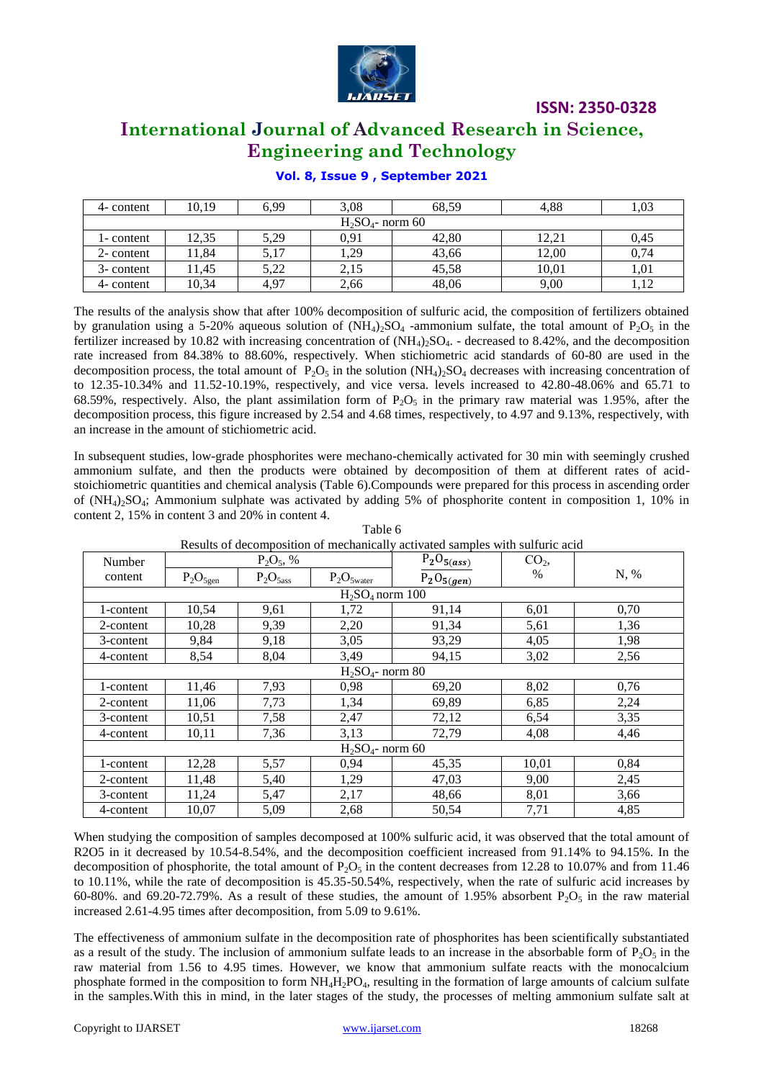

# **International Journal of Advanced Research in Science, Engineering and Technology**

#### **Vol. 8, Issue 9 , September 2021**

| 4- content | 10.19 | 6.99 | 3,08                | 68.59 | 4.88  | 1,03 |
|------------|-------|------|---------------------|-------|-------|------|
|            |       |      | $H_2SO_4$ - norm 60 |       |       |      |
| 1- content | 12,35 | 5,29 | 0.91                | 42,80 | 12.21 | 0,45 |
| 2- content | 1,84  | 5,17 | 1,29                | 43,66 | 12,00 | 0,74 |
| 3- content | 1.45  | 5.22 | 2,15                | 45.58 | 10.01 | 1,01 |
| 4- content | 10,34 | 4.97 | 2,66                | 48,06 | 9,00  | 1.12 |

The results of the analysis show that after 100% decomposition of sulfuric acid, the composition of fertilizers obtained by granulation using a 5-20% aqueous solution of  $(NH_4)_2SO_4$  -ammonium sulfate, the total amount of P<sub>2</sub>O<sub>5</sub> in the fertilizer increased by 10.82 with increasing concentration of  $(NH_4)_2SO_4$ . - decreased to 8.42%, and the decomposition rate increased from 84.38% to 88.60%, respectively. When stichiometric acid standards of 60-80 are used in the decomposition process, the total amount of  $P_2O_5$  in the solution (NH<sub>4</sub>)<sub>2</sub>SO<sub>4</sub> decreases with increasing concentration of to 12.35-10.34% and 11.52-10.19%, respectively, and vice versa. levels increased to 42.80-48.06% and 65.71 to 68.59%, respectively. Also, the plant assimilation form of  $P_2O_5$  in the primary raw material was 1.95%, after the decomposition process, this figure increased by 2.54 and 4.68 times, respectively, to 4.97 and 9.13%, respectively, with an increase in the amount of stichiometric acid.

In subsequent studies, low-grade phosphorites were mechano-chemically activated for 30 min with seemingly crushed ammonium sulfate, and then the products were obtained by decomposition of them at different rates of acidstoichiometric quantities and chemical analysis (Table 6).Compounds were prepared for this process in ascending order of  $(NH_4)$ -SO<sub>4</sub>; Ammonium sulphate was activated by adding 5% of phosphorite content in composition 1, 10% in content 2, 15% in content 3 and 20% in content 4.

| Number    |               | $P_2O_5$ , %  |                     | $P_2O_{5(ass)}$ | CO <sub>2</sub> |      |
|-----------|---------------|---------------|---------------------|-----------------|-----------------|------|
| content   | $P_2O_{5gen}$ | $P_2O_{5ass}$ | $P_2O_{5water}$     | $P_2O_{5(gen)}$ | $\%$            | N, % |
|           |               |               | $H_2SO_4$ norm 100  |                 |                 |      |
| l-content | 10,54         | 9,61          | 1,72                | 91,14           | 6,01            | 0,70 |
| 2-content | 10,28         | 9,39          | 2,20                | 91,34           | 5,61            | 1,36 |
| 3-content | 9,84          | 9,18          | 3,05                | 93,29           | 4,05            | 1,98 |
| 4-content | 8,54          | 8,04          | 3,49                | 94,15           | 3,02            | 2,56 |
|           |               |               | $H2SO4$ - norm 80   |                 |                 |      |
| 1-content | 11,46         | 7,93          | 0,98                | 69,20           | 8,02            | 0,76 |
| 2-content | 11,06         | 7,73          | 1,34                | 69,89           | 6,85            | 2,24 |
| 3-content | 10,51         | 7,58          | 2,47                | 72,12           | 6,54            | 3,35 |
| 4-content | 10,11         | 7,36          | 3,13                | 72,79           | 4,08            | 4,46 |
|           |               |               | $H_2SO_4$ - norm 60 |                 |                 |      |
| 1-content | 12,28         | 5,57          | 0,94                | 45,35           | 10,01           | 0,84 |
| 2-content | 11,48         | 5,40          | 1,29                | 47,03           | 9,00            | 2,45 |
| 3-content | 11,24         | 5,47          | 2,17                | 48,66           | 8,01            | 3,66 |
| 4-content | 10,07         | 5,09          | 2,68                | 50,54           | 7,71            | 4,85 |

Table 6 Results of decomposition of mechanically activated samples with sulfuric acid

When studying the composition of samples decomposed at 100% sulfuric acid, it was observed that the total amount of R2O5 in it decreased by 10.54-8.54%, and the decomposition coefficient increased from 91.14% to 94.15%. In the decomposition of phosphorite, the total amount of  $P_2O_5$  in the content decreases from 12.28 to 10.07% and from 11.46 to 10.11%, while the rate of decomposition is 45.35-50.54%, respectively, when the rate of sulfuric acid increases by 60-80%. and 69.20-72.79%. As a result of these studies, the amount of 1.95% absorbent  $P_2O_5$  in the raw material increased 2.61-4.95 times after decomposition, from 5.09 to 9.61%.

The effectiveness of ammonium sulfate in the decomposition rate of phosphorites has been scientifically substantiated as a result of the study. The inclusion of ammonium sulfate leads to an increase in the absorbable form of  $P_2O_5$  in the raw material from 1.56 to 4.95 times. However, we know that ammonium sulfate reacts with the monocalcium phosphate formed in the composition to form  $NH_4H_2PO_4$ , resulting in the formation of large amounts of calcium sulfate in the samples.With this in mind, in the later stages of the study, the processes of melting ammonium sulfate salt at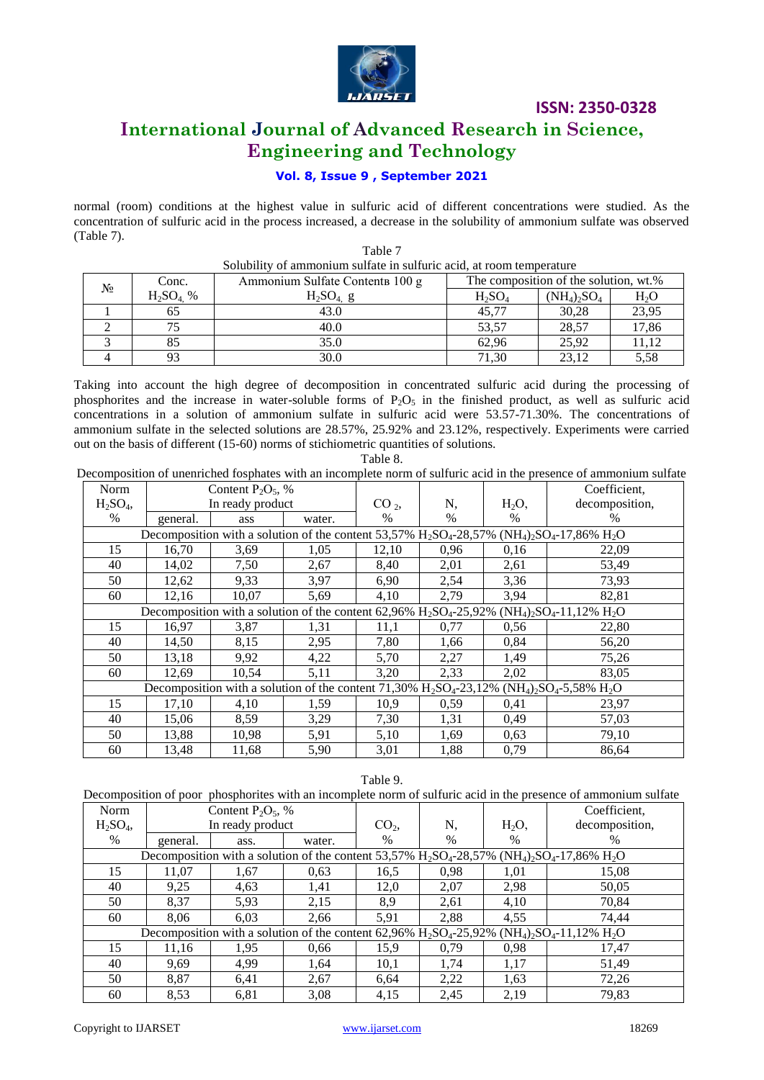

# **International Journal of Advanced Research in Science, Engineering and Technology**

#### **Vol. 8, Issue 9 , September 2021**

normal (room) conditions at the highest value in sulfuric acid of different concentrations were studied. As the concentration of sulfuric acid in the process increased, a decrease in the solubility of ammonium sulfate was observed (Table 7).

Table 7

| Solubility of ammonium sulfate in sulfuric acid, at room temperature |             |                                 |                                       |                |        |  |  |  |  |
|----------------------------------------------------------------------|-------------|---------------------------------|---------------------------------------|----------------|--------|--|--|--|--|
| N <sub>2</sub>                                                       | Conc.       | Ammonium Sulfate Contents 100 g | The composition of the solution, wt.% |                |        |  |  |  |  |
|                                                                      | $H_2SO_4$ % | $H_2SO_4$ g                     | $H_2SO_4$                             | $(NH_4)_2SO_4$ | $H_2O$ |  |  |  |  |
|                                                                      | 65          | 43.0                            | 45,77                                 | 30,28          | 23,95  |  |  |  |  |
|                                                                      | 75          | 40.0                            | 53,57                                 | 28,57          | 17,86  |  |  |  |  |
|                                                                      | 85          | 35.0                            | 62,96                                 | 25,92          | 11,12  |  |  |  |  |
|                                                                      | 93          | 30.0                            | 71,30                                 | 23.12          | 5,58   |  |  |  |  |

Taking into account the high degree of decomposition in concentrated sulfuric acid during the processing of phosphorites and the increase in water-soluble forms of  $P_2O_5$  in the finished product, as well as sulfuric acid concentrations in a solution of ammonium sulfate in sulfuric acid were 53.57-71.30%. The concentrations of ammonium sulfate in the selected solutions are 28.57%, 25.92% and 23.12%, respectively. Experiments were carried out on the basis of different (15-60) norms of stichiometric quantities of solutions.

| г |  |
|---|--|

Decomposition of unenriched fosphates with an incomplete norm of sulfuric acid in the presence of ammonium sulfate

| Norm      |          | Content $P_2O_5$ , % |        |                 |      |          | Coefficient,                                                                                                                                   |
|-----------|----------|----------------------|--------|-----------------|------|----------|------------------------------------------------------------------------------------------------------------------------------------------------|
| $H_2SO_4$ |          | In ready product     |        | CO <sub>2</sub> | N,   | $H_2O$ , | decomposition,                                                                                                                                 |
| $\%$      | general. | ass                  | water. | $\%$            | $\%$ | $\%$     | %                                                                                                                                              |
|           |          |                      |        |                 |      |          | Decomposition with a solution of the content 53,57% $H_2SO_4$ -28,57% (NH <sub>4</sub> ) <sub>2</sub> SO <sub>4</sub> -17,86% H <sub>2</sub> O |
| 15        | 16,70    | 3,69                 | 1,05   | 12,10           | 0,96 | 0,16     | 22,09                                                                                                                                          |
| 40        | 14,02    | 7,50                 | 2,67   | 8,40            | 2,01 | 2,61     | 53,49                                                                                                                                          |
| 50        | 12,62    | 9,33                 | 3,97   | 6,90            | 2,54 | 3,36     | 73,93                                                                                                                                          |
| 60        | 12,16    | 10,07                | 5,69   | 4,10            | 2,79 | 3,94     | 82,81                                                                                                                                          |
|           |          |                      |        |                 |      |          | Decomposition with a solution of the content 62,96% $H_2SO_4$ -25,92% (NH <sub>4</sub> ) <sub>2</sub> SO <sub>4</sub> -11,12% H <sub>2</sub> O |
| 15        | 16,97    | 3,87                 | 1,31   | 11,1            | 0,77 | 0,56     | 22,80                                                                                                                                          |
| 40        | 14,50    | 8,15                 | 2,95   | 7,80            | 1,66 | 0,84     | 56,20                                                                                                                                          |
| 50        | 13,18    | 9,92                 | 4,22   | 5,70            | 2,27 | 1,49     | 75,26                                                                                                                                          |
| 60        | 12,69    | 10,54                | 5,11   | 3,20            | 2,33 | 2,02     | 83,05                                                                                                                                          |
|           |          |                      |        |                 |      |          | Decomposition with a solution of the content 71,30% $H_2SO_4$ -23,12% (NH <sub>4</sub> ) <sub>2</sub> SO <sub>4</sub> -5,58% H <sub>2</sub> O  |
| 15        | 17,10    | 4,10                 | 1,59   | 10,9            | 0,59 | 0,41     | 23,97                                                                                                                                          |
| 40        | 15,06    | 8,59                 | 3,29   | 7,30            | 1,31 | 0,49     | 57,03                                                                                                                                          |
| 50        | 13,88    | 10,98                | 5,91   | 5,10            | 1,69 | 0,63     | 79,10                                                                                                                                          |
| 60        | 13,48    | 11,68                | 5,90   | 3,01            | 1,88 | 0,79     | 86,64                                                                                                                                          |

Тable 9.

| Decomposition of poor phosphorites with an incomplete norm of sulfuric acid in the presence of ammonium sulfate                                |                  |                      |        |                 |      |          |                |  |  |  |  |
|------------------------------------------------------------------------------------------------------------------------------------------------|------------------|----------------------|--------|-----------------|------|----------|----------------|--|--|--|--|
| Norm                                                                                                                                           |                  | Content $P_2O_5$ , % |        |                 |      |          | Coefficient,   |  |  |  |  |
| $H_2SO_4$                                                                                                                                      | In ready product |                      |        | CO <sub>2</sub> | N,   | $H_2O$ , | decomposition, |  |  |  |  |
| %                                                                                                                                              | general.         | ass.                 | water. | $\%$            | $\%$ | $\%$     | %              |  |  |  |  |
| Decomposition with a solution of the content 53,57% $H_2SO_4$ -28,57% (NH <sub>4</sub> ) <sub>2</sub> SO <sub>4</sub> -17,86% H <sub>2</sub> O |                  |                      |        |                 |      |          |                |  |  |  |  |
| 15                                                                                                                                             | 11.07            | 1,67                 | 0.63   | 16,5            | 0.98 | 1,01     | 15,08          |  |  |  |  |
| 40                                                                                                                                             | 9.25             | 4,63                 | 1,41   | 12,0            | 2,07 | 2,98     | 50,05          |  |  |  |  |
| 50                                                                                                                                             | 8,37             | 5,93                 | 2,15   | 8,9             | 2,61 | 4,10     | 70,84          |  |  |  |  |
| 60                                                                                                                                             | 8.06             | 6,03                 | 2,66   | 5,91            | 2,88 | 4,55     | 74.44          |  |  |  |  |
| Decomposition with a solution of the content 62,96% $H_2SO_4$ -25,92% (NH <sub>4</sub> ) <sub>2</sub> SO <sub>4</sub> -11,12% $H_2O$           |                  |                      |        |                 |      |          |                |  |  |  |  |
| 15                                                                                                                                             | 11,16            | 1.95                 | 0.66   | 15,9            | 0.79 | 0.98     | 17,47          |  |  |  |  |
| 40                                                                                                                                             | 9.69             | 4.99                 | 1,64   | 10,1            | 1,74 | 1,17     | 51,49          |  |  |  |  |
| 50                                                                                                                                             | 8,87             | 6,41                 | 2,67   | 6.64            | 2,22 | 1,63     | 72,26          |  |  |  |  |
| 60                                                                                                                                             | 8,53             | 6,81                 | 3,08   | 4,15            | 2,45 | 2,19     | 79,83          |  |  |  |  |